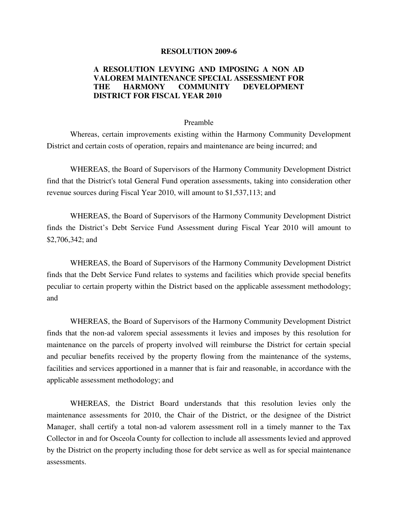## **RESOLUTION 2009-6**

## **A RESOLUTION LEVYING AND IMPOSING A NON AD VALOREM MAINTENANCE SPECIAL ASSESSMENT FOR THE HARMONY COMMUNITY DEVELOPMENT DISTRICT FOR FISCAL YEAR 2010**

## Preamble

 Whereas, certain improvements existing within the Harmony Community Development District and certain costs of operation, repairs and maintenance are being incurred; and

 WHEREAS, the Board of Supervisors of the Harmony Community Development District find that the District's total General Fund operation assessments, taking into consideration other revenue sources during Fiscal Year 2010, will amount to \$1,537,113; and

 WHEREAS, the Board of Supervisors of the Harmony Community Development District finds the District's Debt Service Fund Assessment during Fiscal Year 2010 will amount to \$2,706,342; and

 WHEREAS, the Board of Supervisors of the Harmony Community Development District finds that the Debt Service Fund relates to systems and facilities which provide special benefits peculiar to certain property within the District based on the applicable assessment methodology; and

 WHEREAS, the Board of Supervisors of the Harmony Community Development District finds that the non-ad valorem special assessments it levies and imposes by this resolution for maintenance on the parcels of property involved will reimburse the District for certain special and peculiar benefits received by the property flowing from the maintenance of the systems, facilities and services apportioned in a manner that is fair and reasonable, in accordance with the applicable assessment methodology; and

 WHEREAS, the District Board understands that this resolution levies only the maintenance assessments for 2010, the Chair of the District, or the designee of the District Manager, shall certify a total non-ad valorem assessment roll in a timely manner to the Tax Collector in and for Osceola County for collection to include all assessments levied and approved by the District on the property including those for debt service as well as for special maintenance assessments.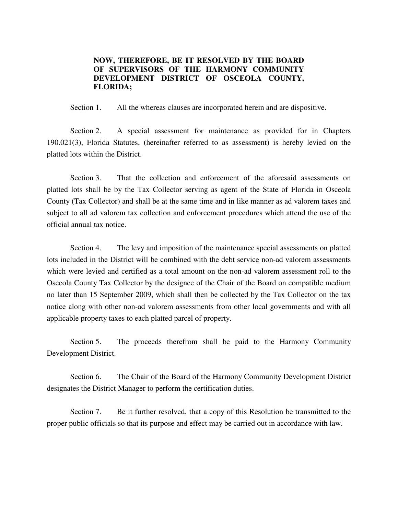## **NOW, THEREFORE, BE IT RESOLVED BY THE BOARD OF SUPERVISORS OF THE HARMONY COMMUNITY DEVELOPMENT DISTRICT OF OSCEOLA COUNTY, FLORIDA;**

Section 1. All the whereas clauses are incorporated herein and are dispositive.

Section 2. A special assessment for maintenance as provided for in Chapters 190.021(3), Florida Statutes, (hereinafter referred to as assessment) is hereby levied on the platted lots within the District.

 Section 3. That the collection and enforcement of the aforesaid assessments on platted lots shall be by the Tax Collector serving as agent of the State of Florida in Osceola County (Tax Collector) and shall be at the same time and in like manner as ad valorem taxes and subject to all ad valorem tax collection and enforcement procedures which attend the use of the official annual tax notice.

 Section 4. The levy and imposition of the maintenance special assessments on platted lots included in the District will be combined with the debt service non-ad valorem assessments which were levied and certified as a total amount on the non-ad valorem assessment roll to the Osceola County Tax Collector by the designee of the Chair of the Board on compatible medium no later than 15 September 2009, which shall then be collected by the Tax Collector on the tax notice along with other non-ad valorem assessments from other local governments and with all applicable property taxes to each platted parcel of property.

Section 5. The proceeds therefrom shall be paid to the Harmony Community Development District.

 Section 6. The Chair of the Board of the Harmony Community Development District designates the District Manager to perform the certification duties.

Section 7. Be it further resolved, that a copy of this Resolution be transmitted to the proper public officials so that its purpose and effect may be carried out in accordance with law.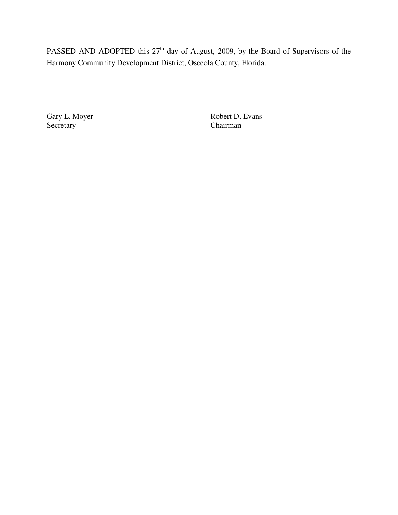PASSED AND ADOPTED this 27<sup>th</sup> day of August, 2009, by the Board of Supervisors of the Harmony Community Development District, Osceola County, Florida.

Gary L. Moyer Robert D. Evans<br>Secretary Chairman Chairman